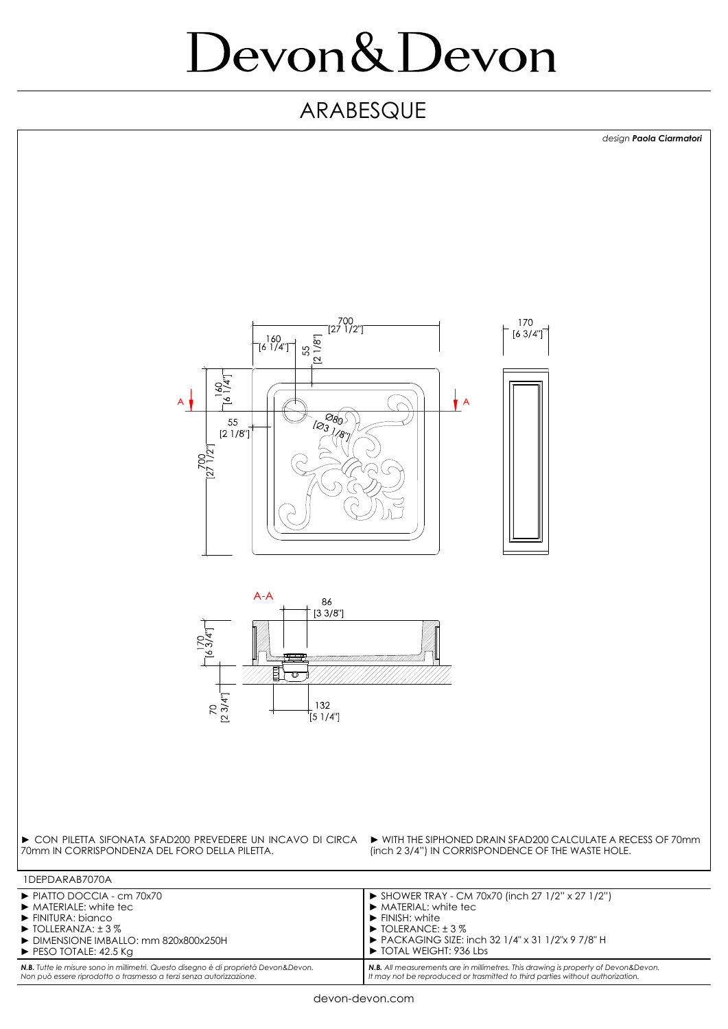# Devon&Devon

#### ARABESQUE



**N.B.** All measurements are in millimetres. This drawing is property of Devon&Devon.<br>It may not be reproduced or trasmitted to third parties without authorization.

*N.B. Tutte le misure sono in millimetri. Questo disegno è di proprietà Devon&Devon.* 

*Non può essere riprodotto o trasmesso a terzi senza autorizzazione.*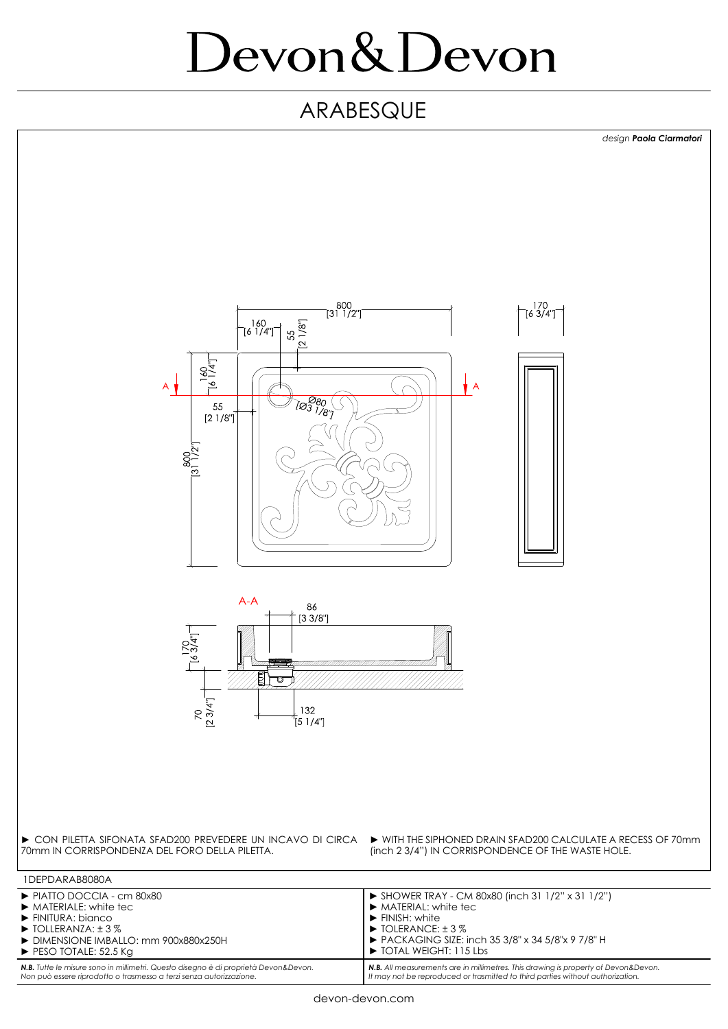# Devon&Devon

### ARABESQUE



**N.B.** All measurements are in millimetres. This drawing is property of Devon&Devon.<br>It may not be reproduced or trasmitted to third parties without authorization.

*N.B. Tutte le misure sono in millimetri. Questo disegno è di proprietà Devon&Devon.* 

*Non può essere riprodotto o trasmesso a terzi senza autorizzazione.*